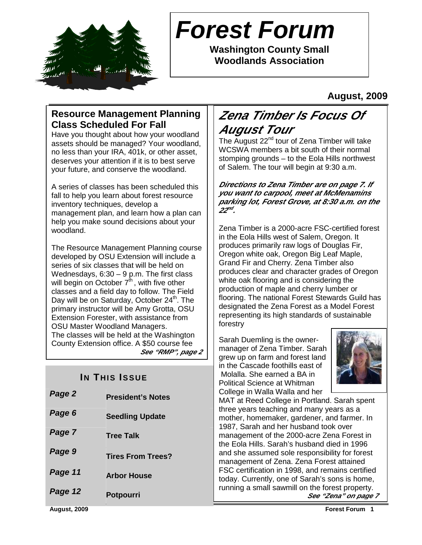

# **Forest Forum**

**Washington County Small Woodlands Association** 

# **August, 2009**

# **Resource Management Planning Class Scheduled For Fall**

Have you thought about how your woodland assets should be managed? Your woodland, no less than your IRA, 401k, or other asset, deserves your attention if it is to best serve your future, and conserve the woodland.

A series of classes has been scheduled this fall to help you learn about forest resource inventory techniques, develop a management plan, and learn how a plan can help you make sound decisions about your woodland.

The Resource Management Planning course developed by OSU Extension will include a series of six classes that will be held on Wednesdays, 6:30 – 9 p.m. The first class will begin on October  $7<sup>th</sup>$ , with five other classes and a field day to follow. The Field Day will be on Saturday, October  $24<sup>th</sup>$ . The primary instructor will be Amy Grotta, OSU Extension Forester, with assistance from OSU Master Woodland Managers. The classes will be held at the Washington County Extension office. A \$50 course fee **See "RMP", page 2** 

# **IN THIS ISSUE**

| Page 2  | <b>President's Notes</b> |
|---------|--------------------------|
| Page 6  | <b>Seedling Update</b>   |
| Page 7  | <b>Tree Talk</b>         |
| Page 9  | <b>Tires From Trees?</b> |
| Page 11 | <b>Arbor House</b>       |
| Page 12 | <b>Potpourri</b>         |

# **Zena Timber Is Focus Of August Tour**

The August 22<sup>nd</sup> tour of Zena Timber will take WCSWA members a bit south of their normal stomping grounds – to the Eola Hills northwest of Salem. The tour will begin at 9:30 a.m.

#### **Directions to Zena Timber are on page 7. If you want to carpool, meet at McMenamins parking lot, Forest Grove, at 8:30 a.m. on the 22 nd .**

Zena Timber is a 2000-acre FSC-certified forest in the Eola Hills west of Salem, Oregon. It produces primarily raw logs of Douglas Fir, Oregon white oak, Oregon Big Leaf Maple, Grand Fir and Cherry. Zena Timber also produces clear and character grades of Oregon white oak flooring and is considering the production of maple and cherry lumber or flooring. The national Forest Stewards Guild has designated the Zena Forest as a Model Forest representing its high standards of sustainable forestry

Sarah Duemling is the ownermanager of Zena Timber. Sarah grew up on farm and forest land in the Cascade foothills east of Molalla. She earned a BA in Political Science at Whitman College in Walla Walla and her



MAT at Reed College in Portland. Sarah spent three years teaching and many years as a mother, homemaker, gardener, and farmer. In 1987, Sarah and her husband took over management of the 2000-acre Zena Forest in the Eola Hills. Sarah's husband died in 1996 and she assumed sole responsibility for forest management of Zena. Zena Forest attained FSC certification in 1998, and remains certified today. Currently, one of Sarah's sons is home, running a small sawmill on the forest property. **See "Zena" on page 7**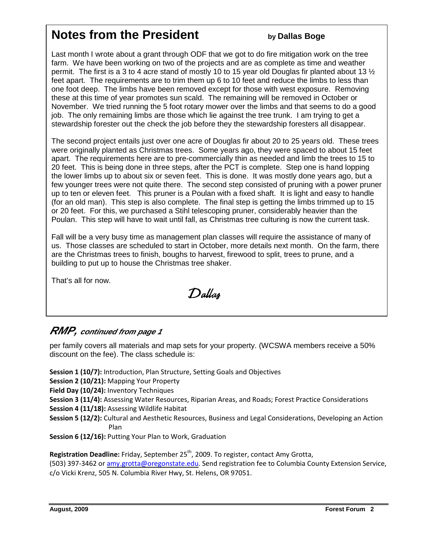# **Notes from the President by Dallas Boge**

Last month I wrote about a grant through ODF that we got to do fire mitigation work on the tree farm. We have been working on two of the projects and are as complete as time and weather permit. The first is a 3 to 4 acre stand of mostly 10 to 15 year old Douglas fir planted about 13 ½ feet apart. The requirements are to trim them up 6 to 10 feet and reduce the limbs to less than one foot deep. The limbs have been removed except for those with west exposure. Removing these at this time of year promotes sun scald. The remaining will be removed in October or November. We tried running the 5 foot rotary mower over the limbs and that seems to do a good job. The only remaining limbs are those which lie against the tree trunk. I am trying to get a stewardship forester out the check the job before they the stewardship foresters all disappear.

The second project entails just over one acre of Douglas fir about 20 to 25 years old. These trees were originally planted as Christmas trees. Some years ago, they were spaced to about 15 feet apart. The requirements here are to pre-commercially thin as needed and limb the trees to 15 to 20 feet. This is being done in three steps, after the PCT is complete. Step one is hand lopping the lower limbs up to about six or seven feet. This is done. It was mostly done years ago, but a few younger trees were not quite there. The second step consisted of pruning with a power pruner up to ten or eleven feet. This pruner is a Poulan with a fixed shaft. It is light and easy to handle (for an old man). This step is also complete. The final step is getting the limbs trimmed up to 15 or 20 feet. For this, we purchased a Stihl telescoping pruner, considerably heavier than the Poulan. This step will have to wait until fall, as Christmas tree culturing is now the current task.

Fall will be a very busy time as management plan classes will require the assistance of many of us. Those classes are scheduled to start in October, more details next month. On the farm, there are the Christmas trees to finish, boughs to harvest, firewood to split, trees to prune, and a building to put up to house the Christmas tree shaker.

That's all for now.

Dallas

# **RMP, continued from page 1**

per family covers all materials and map sets for your property. (WCSWA members receive a 50% discount on the fee). The class schedule is:

Session 1 (10/7): Introduction, Plan Structure, Setting Goals and Objectives

Session 2 (10/21): Mapping Your Property

Field Day (10/24): Inventory Techniques

- Session 3 (11/4): Assessing Water Resources, Riparian Areas, and Roads; Forest Practice Considerations
- Session 4 (11/18): Assessing Wildlife Habitat
- Session 5 (12/2): Cultural and Aesthetic Resources, Business and Legal Considerations, Developing an Action Plan

Session 6 (12/16): Putting Your Plan to Work, Graduation

**Registration Deadline:** Friday, September 25<sup>th</sup>, 2009. To register, contact Amy Grotta,

(503) 397-3462 or amy.grotta@oregonstate.edu. Send registration fee to Columbia County Extension Service, c/o Vicki Krenz, 505 N. Columbia River Hwy, St. Helens, OR 97051.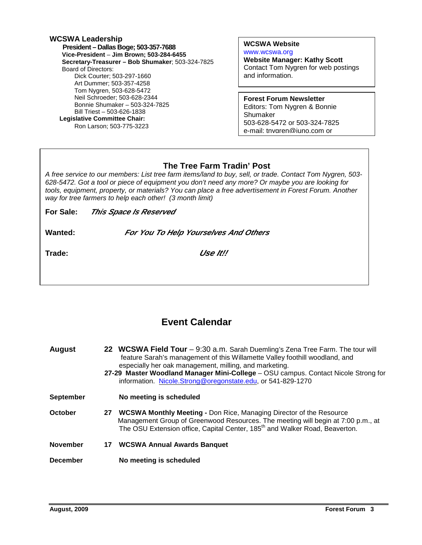| WCSWA Leadership                                 |
|--------------------------------------------------|
| President – Dallas Boge; 503-357-7688            |
| Vice-President - Jim Brown; 503-284-6455         |
| Secretary-Treasurer - Bob Shumaker: 503-324-7825 |
| Board of Directors:                              |
| Dick Courter: 503-297-1660                       |
| Art Dummer: 503-357-4258                         |
| Tom Nygren, 503-628-5472                         |
| Neil Schroeder; 503-628-2344                     |
| Bonnie Shumaker - 503-324-7825                   |
| Bill Triest - 503-626-1838                       |
| Legislative Committee Chair:                     |
| Ron Larson; 503-775-3223                         |
|                                                  |

#### **WCSWA Website** www.wcswa.org

**Website Manager: Kathy Scott** Contact Tom Nygren for web postings and information.

**Forest Forum Newsletter** Editors: Tom Nygren & Bonnie Shumaker 503-628-5472 or 503-324-7825 e-mail: tnygren@juno.com or

# **The Tree Farm Tradin' Post**

 628-5472. Got a tool or piece of equipment you don't need any more? Or maybe you are looking for A free service to our members: List tree farm items/land to buy, sell, or trade. Contact Tom Nygren, 503 tools, equipment, property, or materials? You can place a free advertisement in Forest Forum. Another way for tree farmers to help each other! (3 month limit)

| For Sale: | This Space Is Reserved |
|-----------|------------------------|
|           |                        |

**Wanted: For You To Help Yourselves And Others**

**Trade: Use It!!** 

# **Event Calendar**

| <b>August</b>    |    | 22 WCSWA Field Tour - 9:30 a.m. Sarah Duemling's Zena Tree Farm. The tour will<br>feature Sarah's management of this Willamette Valley foothill woodland, and<br>especially her oak management, milling, and marketing.<br>27-29 Master Woodland Manager Mini-College - OSU campus. Contact Nicole Strong for<br>information. Nicole.Strong@oregonstate.edu, or 541-829-1270 |
|------------------|----|------------------------------------------------------------------------------------------------------------------------------------------------------------------------------------------------------------------------------------------------------------------------------------------------------------------------------------------------------------------------------|
| <b>September</b> |    | No meeting is scheduled                                                                                                                                                                                                                                                                                                                                                      |
| October          | 27 | <b>WCSWA Monthly Meeting - Don Rice, Managing Director of the Resource</b><br>Management Group of Greenwood Resources. The meeting will begin at 7:00 p.m., at<br>The OSU Extension office, Capital Center, 185 <sup>th</sup> and Walker Road, Beaverton.                                                                                                                    |
| <b>November</b>  | 17 | <b>WCSWA Annual Awards Banquet</b>                                                                                                                                                                                                                                                                                                                                           |
| <b>December</b>  |    | No meeting is scheduled                                                                                                                                                                                                                                                                                                                                                      |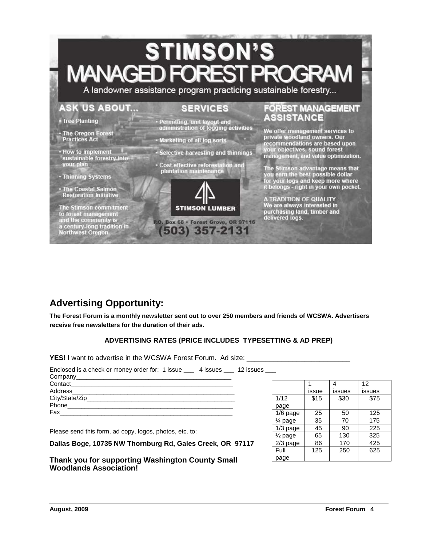# **STIMSON'S MANAGED FORES OGR**

A landowner assistance program practicing sustainable forestry...

# **ASK US ABOUT...**

#### **SERVICES**

**\* Tree Planting** 

• The Oregon Forest **Practices Act** 

• How to implement sustainable forestry into your plan

• Thinning Systems

· The Coastal Salmon<br>Restoration Initiative

The Stimson commitment<br>to forest management<br>and the community is a century-long tradition in<br>Northwest Oregon.



- Marketing of all log sorts
- Selective harvesting and thinnings
- · Cost-effective reforestation and plantation maintenance



P.O. Box 68 · Forest Grove, OR 97116 (503) 357-2131

### **FOREST MANAGEMENT** ASSISTANCE

We offer management services to<br>private woodland owners. Our<br>recommendations are based upon your objectives, sound forest<br>management, and value optimization.

The Stimson advantage means that<br>you earn the best possible dollar<br>for your logs and keep more where<br>it belongs - right in your own pocket.

A TRADITION OF QUALITY<br>We are always interested in purchasing land, timber and<br>delivered logs.

# **Advertising Opportunity:**

**The Forest Forum is a monthly newsletter sent out to over 250 members and friends of WCSWA. Advertisers receive free newsletters for the duration of their ads.** 

#### **ADVERTISING RATES (PRICE INCLUDES TYPESETTING & AD PREP)**

**YES!** I want to advertise in the WCSWA Forest Forum. Ad size:

| Enclosed is a check or money order for: 1 issue 4 issues 12 issues |  |
|--------------------------------------------------------------------|--|
|                                                                    |  |
|                                                                    |  |
|                                                                    |  |
|                                                                    |  |
|                                                                    |  |
|                                                                    |  |

Please send this form, ad copy, logos, photos, etc. to:

**Dallas Boge, 10735 NW Thornburg Rd, Gales Creek, OR 97117** 

**Thank you for supporting Washington County Small Woodlands Association!** 

|                    |       | 4      | 12     |
|--------------------|-------|--------|--------|
|                    | issue | issues | issues |
| 1/12               | \$15  | \$30   | \$75   |
| page               |       |        |        |
| 1/6 page           | 25    | 50     | 125    |
| 1⁄4 page           | 35    | 70     | 175    |
| $1/3$ page         | 45    | 90     | 225    |
| $\frac{1}{2}$ page | 65    | 130    | 325    |
| $2/3$ page         | 86    | 170    | 425    |
| Full               | 125   | 250    | 625    |
| page               |       |        |        |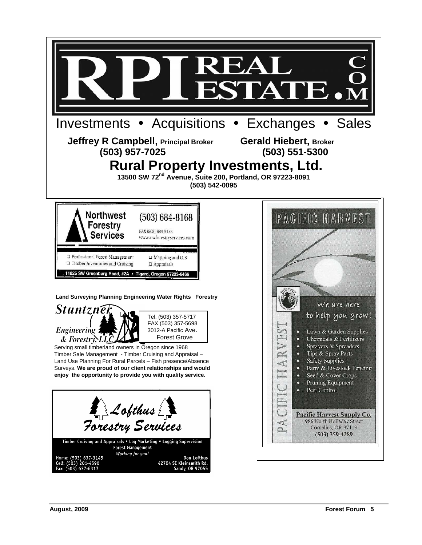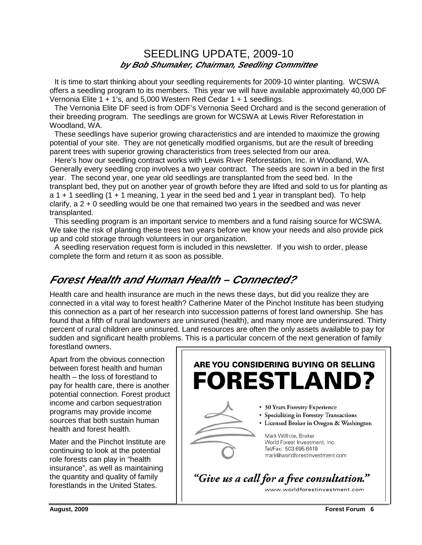# SEEDLING UPDATE, 2009-10 **by Bob Shumaker, Chairman, Seedling Committee**

It is time to start thinking about your seedling requirements for 2009-10 winter planting. WCSWA offers a seedling program to its members. This year we will have available approximately 40,000 DF Vernonia Elite 1 + 1's, and 5,000 Western Red Cedar 1 + 1 seedlings.

 The Vernonia Elite DF seed is from ODF's Vernonia Seed Orchard and is the second generation of their breeding program. The seedlings are grown for WCSWA at Lewis River Reforestation in Woodland, WA.

 These seedlings have superior growing characteristics and are intended to maximize the growing potential of your site. They are not genetically modified organisms, but are the result of breeding parent trees with superior growing characteristics from trees selected from our area.

 Here's how our seedling contract works with Lewis River Reforestation, Inc. in Woodland, WA. Generally every seedling crop involves a two year contract. The seeds are sown in a bed in the first year. The second year, one year old seedlings are transplanted from the seed bed. In the transplant bed, they put on another year of growth before they are lifted and sold to us for planting as a 1 + 1 seedling (1 + 1 meaning, 1 year in the seed bed and 1 year in transplant bed). To help clarify, a 2 + 0 seedling would be one that remained two years in the seedbed and was never transplanted.

 This seedling program is an important service to members and a fund raising source for WCSWA. We take the risk of planting these trees two years before we know your needs and also provide pick up and cold storage through volunteers in our organization.

 A seedling reservation request form is included in this newsletter. If you wish to order, please complete the form and return it as soon as possible.

# **Forest Health and Human Health – Connected?**

Health care and health insurance are much in the news these days, but did you realize they are connected in a vital way to forest health? Catherine Mater of the Pinchot Institute has been studying this connection as a part of her research into succession patterns of forest land ownership. She has found that a fifth of rural landowners are uninsured (health), and many more are underinsured. Thirty percent of rural children are uninsured. Land resources are often the only assets available to pay for sudden and significant health problems. This is a particular concern of the next generation of family forestland owners.

Apart from the obvious connection between forest health and human health – the loss of forestland to pay for health care, there is another potential connection. Forest product income and carbon sequestration programs may provide income sources that both sustain human health and forest health.

Mater and the Pinchot Institute are continuing to look at the potential role forests can play in "health insurance", as well as maintaining the quantity and quality of family forestlands in the United States.

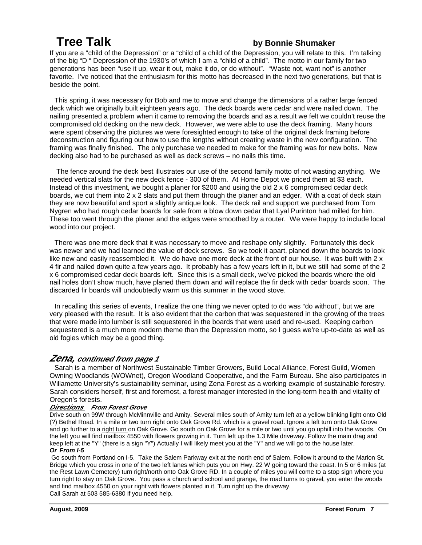# **Tree Talk by Bonnie Shumaker**

If you are a "child of the Depression" or a "child of a child of the Depression, you will relate to this. I'm talking of the big "D " Depression of the 1930's of which I am a "child of a child". The motto in our family for two generations has been "use it up, wear it out, make it do, or do without". "Waste not, want not" is another favorite. I've noticed that the enthusiasm for this motto has decreased in the next two generations, but that is beside the point.

 This spring, it was necessary for Bob and me to move and change the dimensions of a rather large fenced deck which we originally built eighteen years ago. The deck boards were cedar and were nailed down. The nailing presented a problem when it came to removing the boards and as a result we felt we couldn't reuse the compromised old decking on the new deck. However, we were able to use the deck framing. Many hours were spent observing the pictures we were foresighted enough to take of the original deck framing before deconstruction and figuring out how to use the lengths without creating waste in the new configuration. The framing was finally finished. The only purchase we needed to make for the framing was for new bolts. New decking also had to be purchased as well as deck screws – no nails this time.

 The fence around the deck best illustrates our use of the second family motto of not wasting anything. We needed vertical slats for the new deck fence - 300 of them. At Home Depot we priced them at \$3 each. Instead of this investment, we bought a planer for \$200 and using the old 2 x 6 compromised cedar deck boards, we cut them into 2 x 2 slats and put them through the planer and an edger. With a coat of deck stain they are now beautiful and sport a slightly antique look. The deck rail and support we purchased from Tom Nygren who had rough cedar boards for sale from a blow down cedar that Lyal Purinton had milled for him. These too went through the planer and the edges were smoothed by a router. We were happy to include local wood into our project.

 There was one more deck that it was necessary to move and reshape only slightly. Fortunately this deck was newer and we had learned the value of deck screws. So we took it apart, planed down the boards to look like new and easily reassembled it. We do have one more deck at the front of our house. It was built with 2 x 4 fir and nailed down quite a few years ago. It probably has a few years left in it, but we still had some of the 2 x 6 compromised cedar deck boards left. Since this is a small deck, we've picked the boards where the old nail holes don't show much, have planed them down and will replace the fir deck with cedar boards soon. The discarded fir boards will undoubtedly warm us this summer in the wood stove.

 In recalling this series of events, I realize the one thing we never opted to do was "do without", but we are very pleased with the result. It is also evident that the carbon that was sequestered in the growing of the trees that were made into lumber is still sequestered in the boards that were used and re-used. Keeping carbon sequestered is a much more modern theme than the Depression motto, so I guess we're up-to-date as well as old fogies which may be a good thing.

# **Zena, continued from page 1**

 Sarah is a member of Northwest Sustainable Timber Growers, Build Local Alliance, Forest Guild, Women Owning Woodlands (WOWnet), Oregon Woodland Cooperative, and the Farm Bureau. She also participates in Willamette University's sustainability seminar, using Zena Forest as a working example of sustainable forestry. Sarah considers herself, first and foremost, a forest manager interested in the long-term health and vitality of Oregon's forests.

#### **Directions From Forest Grove**

Drive south on 99W through McMinnville and Amity. Several miles south of Amity turn left at a yellow blinking light onto Old (?) Bethel Road. In a mile or two turn right onto Oak Grove Rd. which is a gravel road. Ignore a left turn onto Oak Grove and go further to a right turn on Oak Grove. Go south on Oak Grove for a mile or two until you go uphill into the woods. On the left you will find mailbox 4550 with flowers growing in it. Turn left up the 1.3 Mile driveway. Follow the main drag and keep left at the "Y" (there is a sign "Y") Actually I will likely meet you at the "Y" and we will go to the house later. **Or From I-5** 

#### Go south from Portland on I-5. Take the Salem Parkway exit at the north end of Salem. Follow it around to the Marion St. Bridge which you cross in one of the two left lanes which puts you on Hwy. 22 W going toward the coast. In 5 or 6 miles (at the Rest Lawn Cemetery) turn right/north onto Oak Grove RD. In a couple of miles you will come to a stop sign where you turn right to stay on Oak Grove. You pass a church and school and grange, the road turns to gravel, you enter the woods and find mailbox 4550 on your right with flowers planted in it. Turn right up the driveway. Call Sarah at 503 585-6380 if you need help.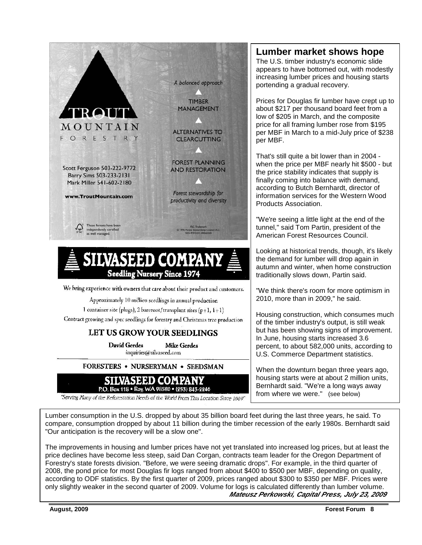

# SILVASEED COMPA **Seedling Nursery Since 1974**

We bring experience with owners that care about their product and customers.

Approximately 10 million seedlings in annual production

1 container site (plugs), 2 bareroot/transplant sites (p+1,  $1+1$ )

Contract growing and spec seedlings for forestry and Christmas tree production

# LET US GROW YOUR SEEDLINGS

David Gerdes **Mike Gerdes** inquiries@silvasced.com

FORESTERS . NURSERYMAN . SEEDSMAN



"Serving Many of the Reforcstation Needs of the World From This Location Since 1889"

# **Lumber market shows hope**

The U.S. timber industry's economic slide appears to have bottomed out, with modestly increasing lumber prices and housing starts portending a gradual recovery.

Prices for Douglas fir lumber have crept up to about \$217 per thousand board feet from a low of \$205 in March, and the composite price for all framing lumber rose from \$195 per MBF in March to a mid-July price of \$238 per MBF.

That's still quite a bit lower than in 2004 when the price per MBF nearly hit \$500 - but the price stability indicates that supply is finally coming into balance with demand, according to Butch Bernhardt, director of information services for the Western Wood Products Association.

"We're seeing a little light at the end of the tunnel," said Tom Partin, president of the American Forest Resources Council.

Looking at historical trends, though, it's likely the demand for lumber will drop again in autumn and winter, when home construction traditionally slows down, Partin said.

"We think there's room for more optimism in 2010, more than in 2009," he said.

Housing construction, which consumes much of the timber industry's output, is still weak but has been showing signs of improvement. In June, housing starts increased 3.6 percent, to about 582,000 units, according to U.S. Commerce Department statistics.

When the downturn began three years ago, housing starts were at about 2 million units, Bernhardt said. "We're a long ways away from where we were." (see below)

Lumber consumption in the U.S. dropped by about 35 billion board feet during the last three years, he said. To compare, consumption dropped by about 11 billion during the timber recession of the early 1980s. Bernhardt said "Our anticipation is the recovery will be a slow one".

The improvements in housing and lumber prices have not yet translated into increased log prices, but at least the price declines have become less steep, said Dan Corgan, contracts team leader for the Oregon Department of Forestry's state forests division. "Before, we were seeing dramatic drops". For example, in the third quarter of 2008, the pond price for most Douglas fir logs ranged from about \$400 to \$500 per MBF, depending on quality, according to ODF statistics. By the first quarter of 2009, prices ranged about \$300 to \$350 per MBF. Prices were only slightly weaker in the second quarter of 2009. Volume for logs is calculated differently than lumber volume.  **Mateusz Perkowski, Capital Press, July 23, 2009**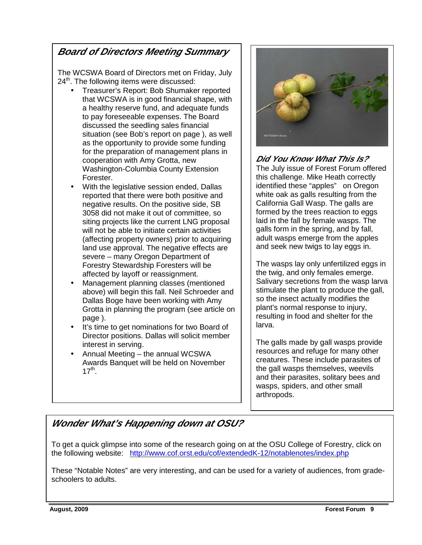# **Board of Directors Meeting Summary**

The WCSWA Board of Directors met on Friday, July  $24<sup>th</sup>$ . The following items were discussed:

- Treasurer's Report: Bob Shumaker reported that WCSWA is in good financial shape, with a healthy reserve fund, and adequate funds to pay foreseeable expenses. The Board discussed the seedling sales financial situation (see Bob's report on page ), as well as the opportunity to provide some funding for the preparation of management plans in cooperation with Amy Grotta, new Washington-Columbia County Extension Forester.
- With the legislative session ended, Dallas reported that there were both positive and negative results. On the positive side, SB 3058 did not make it out of committee, so siting projects like the current LNG proposal will not be able to initiate certain activities (affecting property owners) prior to acquiring land use approval. The negative effects are severe – many Oregon Department of Forestry Stewardship Foresters will be affected by layoff or reassignment.
- Management planning classes (mentioned above) will begin this fall. Neil Schroeder and Dallas Boge have been working with Amy Grotta in planning the program (see article on page ).
- It's time to get nominations for two Board of Director positions. Dallas will solicit member interest in serving.
- Annual Meeting the annual WCSWA Awards Banquet will be held on November  $17<sup>th</sup>$ .



# **Did You Know What This Is?**

The July issue of Forest Forum offered this challenge. Mike Heath correctly identified these "apples" on Oregon white oak as galls resulting from the California Gall Wasp. The galls are formed by the trees reaction to eggs laid in the fall by female wasps. The galls form in the spring, and by fall, adult wasps emerge from the apples and seek new twigs to lay eggs in.

The wasps lay only unfertilized eggs in the twig, and only females emerge. Salivary secretions from the wasp larva stimulate the plant to produce the gall, so the insect actually modifies the plant's normal response to injury, resulting in food and shelter for the larva.

The galls made by gall wasps provide resources and refuge for many other creatures. These include parasites of the gall wasps themselves, weevils and their parasites, solitary bees and wasps, spiders, and other small arthropods.

# **Wonder What's Happening down at OSU?**

 To get a quick glimpse into some of the research going on at the OSU College of Forestry, click on the following website: http://www.cof.orst.edu/cof/extendedK-12/notablenotes/index.php

These "Notable Notes" are very interesting, and can be used for a variety of audiences, from gradeschoolers to adults.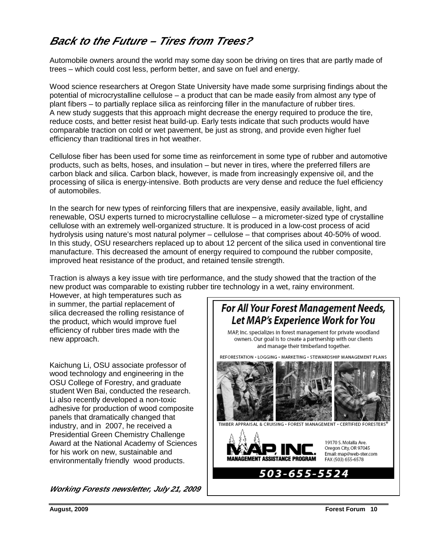# **Back to the Future – Tires from Trees?**

Automobile owners around the world may some day soon be driving on tires that are partly made of trees – which could cost less, perform better, and save on fuel and energy.

Wood science researchers at Oregon State University have made some surprising findings about the potential of microcrystalline cellulose – a product that can be made easily from almost any type of plant fibers – to partially replace silica as reinforcing filler in the manufacture of rubber tires. A new study suggests that this approach might decrease the energy required to produce the tire, reduce costs, and better resist heat build-up. Early tests indicate that such products would have comparable traction on cold or wet pavement, be just as strong, and provide even higher fuel efficiency than traditional tires in hot weather.

Cellulose fiber has been used for some time as reinforcement in some type of rubber and automotive products, such as belts, hoses, and insulation – but never in tires, where the preferred fillers are carbon black and silica. Carbon black, however, is made from increasingly expensive oil, and the processing of silica is energy-intensive. Both products are very dense and reduce the fuel efficiency of automobiles.

In the search for new types of reinforcing fillers that are inexpensive, easily available, light, and renewable, OSU experts turned to microcrystalline cellulose – a micrometer-sized type of crystalline cellulose with an extremely well-organized structure. It is produced in a low-cost process of acid hydrolysis using nature's most natural polymer – cellulose – that comprises about 40-50% of wood. In this study, OSU researchers replaced up to about 12 percent of the silica used in conventional tire manufacture. This decreased the amount of energy required to compound the rubber composite, improved heat resistance of the product, and retained tensile strength.

Traction is always a key issue with tire performance, and the study showed that the traction of the new product was comparable to existing rubber tire technology in a wet, rainy environment.

However, at high temperatures such as in summer, the partial replacement of silica decreased the rolling resistance of the product, which would improve fuel efficiency of rubber tires made with the new approach.

Kaichung Li, OSU associate professor of wood technology and engineering in the OSU College of Forestry, and graduate student Wen Bai, conducted the research. Li also recently developed a non-toxic adhesive for production of wood composite panels that dramatically changed that industry, and in 2007, he received a Presidential Green Chemistry Challenge Award at the National Academy of Sciences for his work on new, sustainable and environmentally friendly wood products.

**Working Forests newsletter, July 21, 2009** 

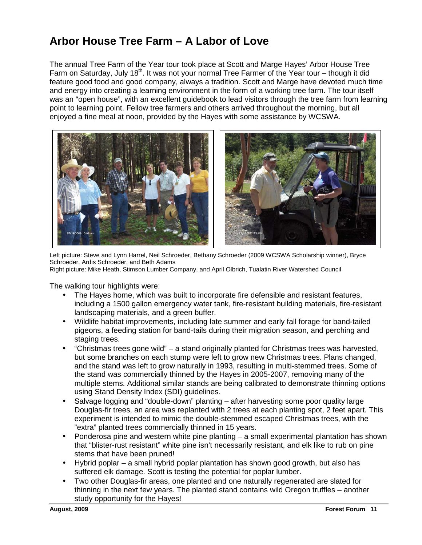# **Arbor House Tree Farm – A Labor of Love**

The annual Tree Farm of the Year tour took place at Scott and Marge Hayes' Arbor House Tree Farm on Saturday, July 18<sup>th</sup>. It was not your normal Tree Farmer of the Year tour – though it did feature good food and good company, always a tradition. Scott and Marge have devoted much time and energy into creating a learning environment in the form of a working tree farm. The tour itself was an "open house", with an excellent guidebook to lead visitors through the tree farm from learning point to learning point. Fellow tree farmers and others arrived throughout the morning, but all enjoyed a fine meal at noon, provided by the Hayes with some assistance by WCSWA.



Left picture: Steve and Lynn Harrel, Neil Schroeder, Bethany Schroeder (2009 WCSWA Scholarship winner), Bryce Schroeder, Ardis Schroeder, and Beth Adams Right picture: Mike Heath, Stimson Lumber Company, and April Olbrich, Tualatin River Watershed Council

The walking tour highlights were:

- The Hayes home, which was built to incorporate fire defensible and resistant features, including a 1500 gallon emergency water tank, fire-resistant building materials, fire-resistant landscaping materials, and a green buffer.
- Wildlife habitat improvements, including late summer and early fall forage for band-tailed pigeons, a feeding station for band-tails during their migration season, and perching and staging trees.
- "Christmas trees gone wild" a stand originally planted for Christmas trees was harvested, but some branches on each stump were left to grow new Christmas trees. Plans changed, and the stand was left to grow naturally in 1993, resulting in multi-stemmed trees. Some of the stand was commercially thinned by the Hayes in 2005-2007, removing many of the multiple stems. Additional similar stands are being calibrated to demonstrate thinning options using Stand Density Index (SDI) guidelines.
- Salvage logging and "double-down" planting after harvesting some poor quality large Douglas-fir trees, an area was replanted with 2 trees at each planting spot, 2 feet apart. This experiment is intended to mimic the double-stemmed escaped Christmas trees, with the "extra" planted trees commercially thinned in 15 years.
- Ponderosa pine and western white pine planting a small experimental plantation has shown that "blister-rust resistant" white pine isn't necessarily resistant, and elk like to rub on pine stems that have been pruned!
- Hybrid poplar a small hybrid poplar plantation has shown good growth, but also has suffered elk damage. Scott is testing the potential for poplar lumber.
- Two other Douglas-fir areas, one planted and one naturally regenerated are slated for thinning in the next few years. The planted stand contains wild Oregon truffles – another study opportunity for the Hayes!